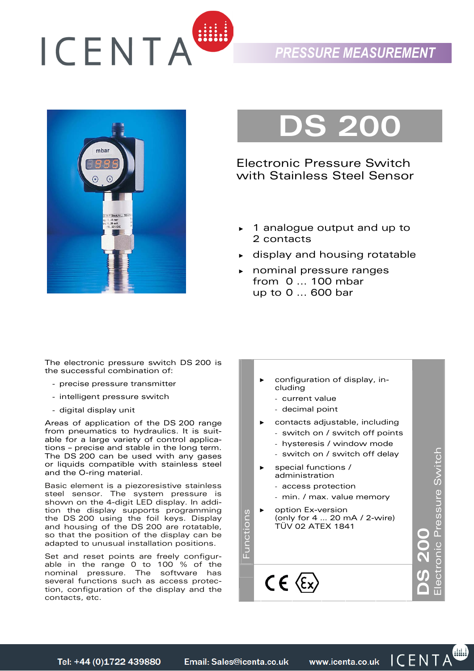

## *PRESSURE MEASUREMENT*



# **DS 200**

Electronic Pressure Switch with Stainless Steel Sensor

- ► 1 analogue output and up to 2 contacts
- display and housing rotatable
- ► nominal pressure ranges from 0 ... 100 mbar up to 0 ... 600 bar

The electronic pressure switch DS 200 is the successful combination of:

- precise pressure transmitter
- intelligent pressure switch
- digital display unit

Areas of application of the DS 200 range from pneumatics to hydraulics. It is suitable for a large variety of control applications – precise and stable in the long term. The DS 200 can be used with any gases or liquids compatible with stainless steel and the O-ring material.

Basic element is a piezoresistive stainless steel sensor. The system pressure is shown on the 4-digit LED display. In addition the display supports programming the DS 200 using the foil keys. Display and housing of the DS 200 are rotatable, so that the position of the display can be adapted to unusual installation positions.

Set and reset points are freely configurable in the range 0 to 100 % of the nominal pressure. The software has several functions such as access protection, configuration of the display and the contacts, etc.



Tel: +44 (0)1722 439880

Email: Sales@icenta.co.uk

www.icenta.co.uk ICENTA

 $\bullet$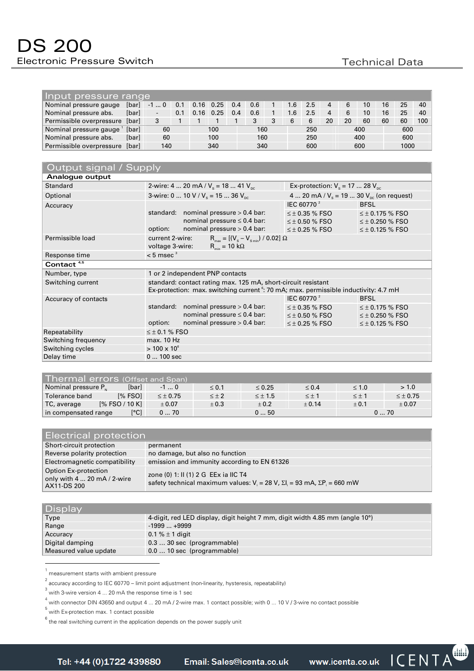| Input pressure range     |       |                          |     |  |                   |     |     |  |     |     |    |    |     |    |      |        |
|--------------------------|-------|--------------------------|-----|--|-------------------|-----|-----|--|-----|-----|----|----|-----|----|------|--------|
| Nominal pressure gauge   | [bar] | $-10$                    | 0.1 |  | $0.16$ 0.25       | 0.4 | 0.6 |  | 1.6 | 2.5 |    | 6  | 10  | 16 | 25   | $40-1$ |
| Nominal pressure abs.    | [bar] | $\overline{\phantom{a}}$ | 0.1 |  | $0.16 \quad 0.25$ | 0.4 | 0.6 |  | 1.6 | 2.5 |    | 6  | 10  | 16 | 25   | $40-1$ |
| Permissible overpressure | [bar] |                          |     |  |                   |     | 3   |  | 6   |     | 20 | 20 | 60  | 60 | 60   | 100    |
| Nominal pressure gauge   | [bar] | 60                       |     |  | 100               |     | 160 |  |     | 250 |    |    | 400 |    | 600  |        |
| Nominal pressure abs.    | [bar] | 60                       |     |  | 100               |     | 160 |  |     | 250 |    |    | 400 |    | 600  |        |
| Permissible overpressure | [bar] | 140                      |     |  | 340               |     | 340 |  |     | 600 |    |    | 600 |    | 1000 |        |

| Output signal / Supply |                                                                                                                                                                   |                                                 |                        |  |  |  |  |
|------------------------|-------------------------------------------------------------------------------------------------------------------------------------------------------------------|-------------------------------------------------|------------------------|--|--|--|--|
| Analogue output        |                                                                                                                                                                   |                                                 |                        |  |  |  |  |
| <b>Standard</b>        | 2-wire: 4  20 mA / $V_s$ = 18  41 $V_{\text{nc}}$                                                                                                                 | Ex-protection: $V_s = 17$ 28 $V_{nc}$           |                        |  |  |  |  |
| Optional               | 3-wire: 0  10 V / $V_s$ = 15  36 $V_{nc}$                                                                                                                         | 4  20 mA / $V_s$ = 19  30 $V_{nc}$ (on request) |                        |  |  |  |  |
| Accuracy               |                                                                                                                                                                   | IEC 60770 <sup>2</sup>                          | <b>BFSL</b>            |  |  |  |  |
|                        | standard: nominal pressure $> 0.4$ bar:                                                                                                                           | $\leq \pm$ 0.35 % FSO                           | $\leq \pm 0.175$ % FSO |  |  |  |  |
|                        | nominal pressure $\leq 0.4$ bar:                                                                                                                                  | $\leq \pm$ 0.50 % FSO                           | $\leq \pm 0.250$ % FSO |  |  |  |  |
|                        | nominal pressure > 0.4 bar:<br>option:                                                                                                                            | $\leq \pm 0.25$ % FSO                           | $\leq \pm 0.125$ % FSO |  |  |  |  |
| Permissible load       | current 2-wire:<br>$R_{\text{max}} = [(V_s - V_{\text{min}})/0.02] \Omega$<br>$R_{\text{min}} = 10 \text{ k}\Omega$<br>voltage 3-wire:                            |                                                 |                        |  |  |  |  |
| Response time          | $< 5$ msec <sup>3</sup>                                                                                                                                           |                                                 |                        |  |  |  |  |
| Contact <sup>4,5</sup> |                                                                                                                                                                   |                                                 |                        |  |  |  |  |
| Number, type           | 1 or 2 independent PNP contacts                                                                                                                                   |                                                 |                        |  |  |  |  |
| Switching current      | standard: contact rating max. 125 mA, short-circuit resistant<br>Ex-protection: max. switching current <sup>6</sup> : 70 mA; max. permissible inductivity: 4.7 mH |                                                 |                        |  |  |  |  |
| Accuracy of contacts   |                                                                                                                                                                   | IEC 60770 <sup>2</sup>                          | <b>BFSL</b>            |  |  |  |  |
|                        | nominal pressure $> 0.4$ bar:<br>standard:                                                                                                                        | $\leq \pm 0.35$ % FSO                           | $\leq \pm 0.175$ % FSO |  |  |  |  |
|                        | nominal pressure $\leq 0.4$ bar:                                                                                                                                  | $\leq \pm 0.50$ % FSO                           | $\leq \pm 0.250$ % FSO |  |  |  |  |
|                        | nominal pressure > 0.4 bar:<br>option:                                                                                                                            | $\leq \pm 0.25$ % FSO                           | $\leq \pm 0.125$ % FSO |  |  |  |  |
| Repeatability          | $\leq \pm$ 0.1 % FSO                                                                                                                                              |                                                 |                        |  |  |  |  |
| Switching frequency    | max. 10 Hz                                                                                                                                                        |                                                 |                        |  |  |  |  |
| Switching cycles       | $> 100 \times 10^6$                                                                                                                                               |                                                 |                        |  |  |  |  |
| Delay time             | $0100$ sec                                                                                                                                                        |                                                 |                        |  |  |  |  |

| Thermal errors (Offset and Span) |                           |                 |              |                |              |              |                 |
|----------------------------------|---------------------------|-----------------|--------------|----------------|--------------|--------------|-----------------|
| Nominal pressure P <sub>N</sub>  | [bar]                     | $-10$           | $\leq 0.1$   | $\leq 0.25$    | $\leq 0.4$   | $\leq 1.0$   | > 1.0           |
| Tolerance band                   | $1\%$ FSO1                | $\leq \pm 0.75$ | $\leq \pm 2$ | $\leq \pm 1.5$ | $\leq \pm 1$ | $\leq \pm 1$ | $\leq \pm 0.75$ |
| TC, average                      | $[%$ FSO / 10 K]          | ± 0.07          | ± 0.3        | ± 0.2          | ± 0.14       | ± 0.1        | ± 0.07          |
| in compensated range             | $\lceil{^{\circ}C}\rceil$ | 070             |              | 050            |              |              | 070             |

| <b>Electrical protection</b>                                                 |                                                                                                                                      |  |  |  |  |
|------------------------------------------------------------------------------|--------------------------------------------------------------------------------------------------------------------------------------|--|--|--|--|
| Short-circuit protection                                                     | permanent                                                                                                                            |  |  |  |  |
| Reverse polarity protection                                                  | no damage, but also no function                                                                                                      |  |  |  |  |
| Electromagnetic compatibility                                                | emission and immunity according to EN 61326                                                                                          |  |  |  |  |
| Option Ex-protection<br>only with $4 \dots 20$ mA $/ 2$ -wire<br>AX11-DS 200 | zone (0) 1: II (1) 2 G EEx ia IIC T4<br>safety technical maximum values: $V_i = 28 V$ , $\Sigma I_i = 93 mA$ , $\Sigma P_i = 660 mW$ |  |  |  |  |

| <b>Display</b>        |                                                                                           |
|-----------------------|-------------------------------------------------------------------------------------------|
| Type                  | 4-digit, red LED display, digit height 7 mm, digit width 4.85 mm (angle 10 <sup>o</sup> ) |
| Range                 | $-1999+9999$                                                                              |
| Accuracy              | 0.1 % $\pm$ 1 digit                                                                       |
| Digital damping       | $0.330$ sec (programmable)                                                                |
| Measured value update | $0.010$ sec (programmable)                                                                |

1 measurement starts with ambient pressure

 $^2$  accuracy according to IEC 60770 – limit point adjustment (non-linearity, hysteresis, repeatability)

<sup>3</sup> with 3-wire version 4 ... 20 mA the response time is 1 sec

<sup>4</sup> with connector DIN 43650 and output 4 ... 20 mA / 2-wire max. 1 contact possible; with 0 ... 10 V / 3-wire no contact possible

<sup>5</sup> with Ex-protection max. 1 contact possible

 $^6$  the real switching current in the application depends on the power supply unit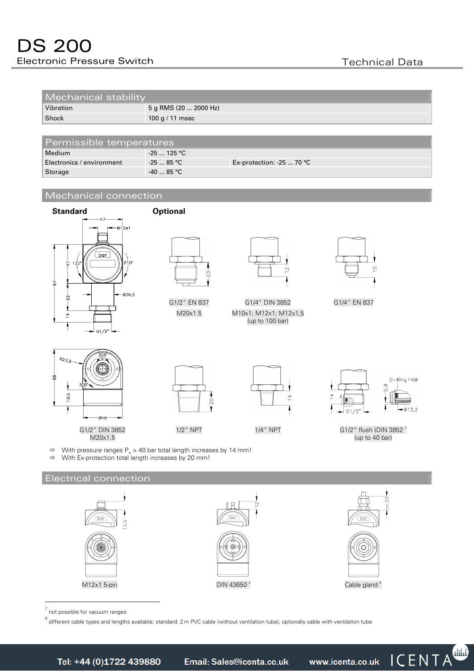| Mechanical stability |                       |
|----------------------|-----------------------|
| Vibration            | 5 g RMS (20  2000 Hz) |
| Shock                | 100 g / 11 msec       |

| Permissible temperatures  |              |                                  |  |  |  |  |
|---------------------------|--------------|----------------------------------|--|--|--|--|
| Medium                    | $-25$ 125 °C |                                  |  |  |  |  |
| Electronics / environment | $-2585$ °C   | Ex-protection: -25 $\dots$ 70 °C |  |  |  |  |
| Storage                   | $-4085 °C$   |                                  |  |  |  |  |

#### Mechanical connection





7 not possible for vacuum ranges

<sup>8</sup> different cable types and lengths available; standard: 2 m PVC cable (without ventilation tube), optionally cable with ventilation tube